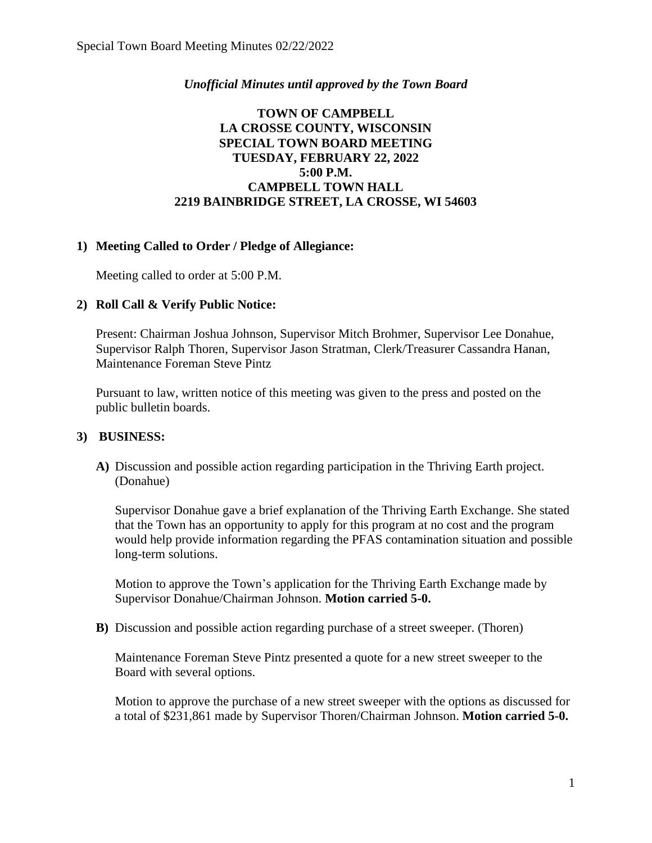## *Unofficial Minutes until approved by the Town Board*

## **TOWN OF CAMPBELL LA CROSSE COUNTY, WISCONSIN SPECIAL TOWN BOARD MEETING TUESDAY, FEBRUARY 22, 2022 5:00 P.M. CAMPBELL TOWN HALL 2219 BAINBRIDGE STREET, LA CROSSE, WI 54603**

## **1) Meeting Called to Order / Pledge of Allegiance:**

Meeting called to order at 5:00 P.M.

#### **2) Roll Call & Verify Public Notice:**

Present: Chairman Joshua Johnson, Supervisor Mitch Brohmer, Supervisor Lee Donahue, Supervisor Ralph Thoren, Supervisor Jason Stratman, Clerk/Treasurer Cassandra Hanan, Maintenance Foreman Steve Pintz

Pursuant to law, written notice of this meeting was given to the press and posted on the public bulletin boards.

#### **3) BUSINESS:**

**A)** Discussion and possible action regarding participation in the Thriving Earth project. (Donahue)

Supervisor Donahue gave a brief explanation of the Thriving Earth Exchange. She stated that the Town has an opportunity to apply for this program at no cost and the program would help provide information regarding the PFAS contamination situation and possible long-term solutions.

Motion to approve the Town's application for the Thriving Earth Exchange made by Supervisor Donahue/Chairman Johnson. **Motion carried 5-0.** 

**B)** Discussion and possible action regarding purchase of a street sweeper. (Thoren)

Maintenance Foreman Steve Pintz presented a quote for a new street sweeper to the Board with several options.

Motion to approve the purchase of a new street sweeper with the options as discussed for a total of \$231,861 made by Supervisor Thoren/Chairman Johnson. **Motion carried 5-0.**